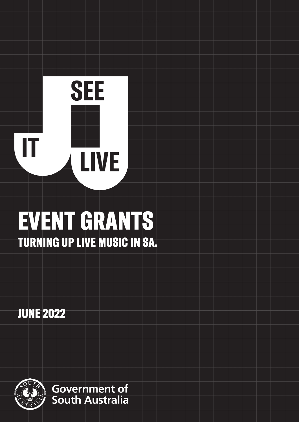# **SEE**  IT LIVE

## EVENT GRANTS TURNING UP LIVE MUSIC IN SA.

JUNE 2022

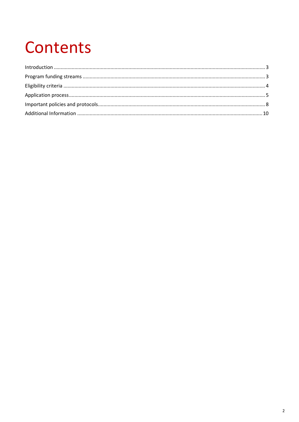## Contents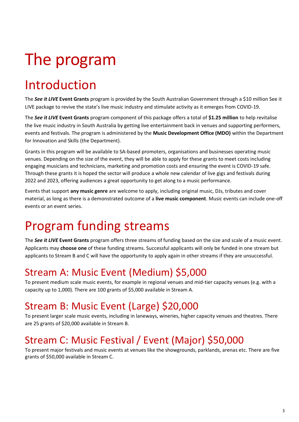## The program

## <span id="page-2-0"></span>Introduction

The *See it LIVE* **Event Grants** program is provided by the South Australian Government through a \$10 million See it LIVE package to revive the state's live music industry and stimulate activity as it emerges from COVID-19.

The *See it LIVE* **Event Grants** program component of this package offers a total of **\$1.25 million** to help revitalise the live music industry in South Australia by getting live entertainment back in venues and supporting performers, events and festivals. The program is administered by the **Music Development Office (MDO)** within the Department for Innovation and Skills (the Department).

Grants in this program will be available to SA-based promoters, organisations and businesses operating music venues. Depending on the size of the event, they will be able to apply for these grants to meet costs including engaging musicians and technicians, marketing and promotion costs and ensuring the event is COVID-19 safe. Through these grants it is hoped the sector will produce a whole new calendar of live gigs and festivals during 2022 and 2023, offering audiences a great opportunity to get along to a music performance.

Events that support **any music genre** are welcome to apply, including original music, DJs, tributes and cover material, as long as there is a demonstrated outcome of a **live music component**. Music events can include one-off events or an event series.

## <span id="page-2-1"></span>Program funding streams

The *See it LIVE* **Event Grants** program offers three streams of funding based on the size and scale of a music event. Applicants may **choose one** of these funding streams. Successful applicants will only be funded in one stream but applicants to Stream B and C will have the opportunity to apply again in other streams if they are unsuccessful.

## Stream A: Music Event (Medium) \$5,000

To present medium scale music events, for example in regional venues and mid-tier capacity venues (e.g. with a capacity up to 1,000). There are 100 grants of \$5,000 available in Stream A.

## Stream B: Music Event (Large) \$20,000

To present larger scale music events, including in laneways, wineries, higher capacity venues and theatres. There are 25 grants of \$20,000 available in Stream B.

## Stream C: Music Festival / Event (Major) \$50,000

To present major festivals and music events at venues like the showgrounds, parklands, arenas etc. There are five grants of \$50,000 available in Stream C.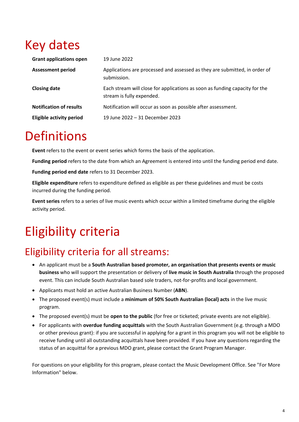## Key dates

| <b>Grant applications open</b>  | 19 June 2022                                                                                             |
|---------------------------------|----------------------------------------------------------------------------------------------------------|
| <b>Assessment period</b>        | Applications are processed and assessed as they are submitted, in order of<br>submission.                |
| <b>Closing date</b>             | Each stream will close for applications as soon as funding capacity for the<br>stream is fully expended. |
| <b>Notification of results</b>  | Notification will occur as soon as possible after assessment.                                            |
| <b>Eligible activity period</b> | 19 June 2022 - 31 December 2023                                                                          |

## **Definitions**

**Event** refers to the event or event series which forms the basis of the application.

**Funding period** refers to the date from which an Agreement is entered into until the funding period end date.

**Funding period end date** refers to 31 December 2023.

**Eligible expenditure** refers to expenditure defined as eligible as per these guidelines and must be costs incurred during the funding period.

**Event series** refers to a series of live music events which occur within a limited timeframe during the eligible activity period.

## <span id="page-3-0"></span>Eligibility criteria

## Eligibility criteria for all streams:

- An applicant must be a **South Australian based promoter, an organisation that presents events or music business** who will support the presentation or delivery of **live music in South Australia** through the proposed event. This can include South Australian based sole traders, not-for-profits and local government.
- Applicants must hold an active Australian Business Number (**ABN**).
- The proposed event(s) must include a **minimum of 50% South Australian (local) acts** in the live music program.
- The proposed event(s) must be **open to the public** (for free or ticketed; private events are not eligible).
- For applicants with **overdue funding acquittals** with the South Australian Government (e.g. through a MDO or other previous grant): if you are successful in applying for a grant in this program you will not be eligible to receive funding until all outstanding acquittals have been provided. If you have any questions regarding the status of an acquittal for a previous MDO grant, please contact the Grant Program Manager.

For questions on your eligibility for this program, please contact the Music Development Office. See "For More Information" below.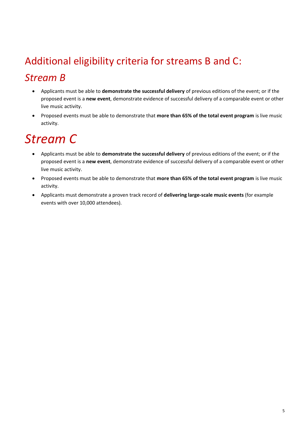## Additional eligibility criteria for streams B and C: *Stream B*

- Applicants must be able to **demonstrate the successful delivery** of previous editions of the event; or if the proposed event is a **new event**, demonstrate evidence of successful delivery of a comparable event or other live music activity.
- Proposed events must be able to demonstrate that **more than 65% of the total event program** is live music activity.

## *Stream C*

- Applicants must be able to **demonstrate the successful delivery** of previous editions of the event; or if the proposed event is a **new event**, demonstrate evidence of successful delivery of a comparable event or other live music activity.
- Proposed events must be able to demonstrate that **more than 65% of the total event program** is live music activity.
- Applicants must demonstrate a proven track record of **delivering large-scale music events** (for example events with over 10,000 attendees).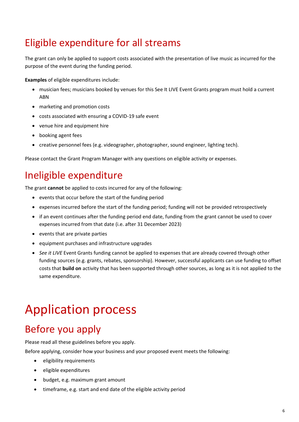## Eligible expenditure for all streams

The grant can only be applied to support costs associated with the presentation of live music as incurred for the purpose of the event during the funding period.

**Examples** of eligible expenditures include:

- musician fees; musicians booked by venues for this See It LIVE Event Grants program must hold a current ABN
- marketing and promotion costs
- costs associated with ensuring a COVID-19 safe event
- venue hire and equipment hire
- booking agent fees
- creative personnel fees (e.g. videographer, photographer, sound engineer, lighting tech).

Please contact the Grant Program Manager with any questions on eligible activity or expenses.

#### Ineligible expenditure

The grant **cannot** be applied to costs incurred for any of the following:

- events that occur before the start of the funding period
- expenses incurred before the start of the funding period; funding will not be provided retrospectively
- if an event continues after the funding period end date, funding from the grant cannot be used to cover expenses incurred from that date (i.e. after 31 December 2023)
- events that are private parties
- equipment purchases and infrastructure upgrades
- *See it LIVE* Event Grants funding cannot be applied to expenses that are already covered through other funding sources (e.g. grants, rebates, sponsorship). However, successful applicants can use funding to offset costs that **build on** activity that has been supported through other sources, as long as it is not applied to the same expenditure.

## Application process

#### Before you apply

Please read all these guidelines before you apply.

Before applying, consider how your business and your proposed event meets the following:

- eligibility requirements
- eligible expenditures
- budget, e.g. maximum grant amount
- timeframe, e.g. start and end date of the eligible activity period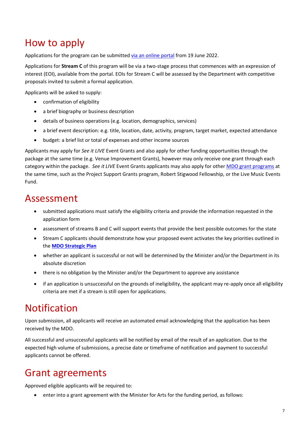#### How to apply

Applications for the program can be submitted [via an online portal](https://mybusiness.smartygrants.com.au/) from 19 June 2022.

Applications for **Stream C** of this program will be via a two-stage process that commences with an expression of interest (EOI), available from the portal. EOIs for Stream C will be assessed by the Department with competitive proposals invited to submit a formal application.

Applicants will be asked to supply:

- confirmation of eligibility
- a brief biography or business description
- details of business operations (e.g. location, demographics, services)
- a brief event description: e.g. title, location, date, activity, program, target market, expected attendance
- budget: a brief list or total of expenses and other income sources

Applicants may apply for *See it LIVE* Event Grants and also apply for other funding opportunities through the package at the same time (e.g. Venue Improvement Grants), however may only receive one grant through each category within the package. *See it LIVE* Event Grants applicants may also apply for other [MDO grant programs](https://mdo.sa.gov.au/) at the same time, such as the Project Support Grants program, Robert Stigwood Fellowship, or the Live Music Events Fund.

#### Assessment

- submitted applications must satisfy the eligibility criteria and provide the information requested in the application form
- assessment of streams B and C will support events that provide the best possible outcomes for the state
- Stream C applicants should demonstrate how your proposed event activates the key priorities outlined in the **[MDO Strategic Plan](http://mdo.sa.gov.au/mdo-strategic-plan/)**
- whether an applicant is successful or not will be determined by the Minister and/or the Department in its absolute discretion
- there is no obligation by the Minister and/or the Department to approve any assistance
- if an application is unsuccessful on the grounds of ineligibility, the applicant may re-apply once all eligibility criteria are met if a stream is still open for applications.

#### Notification

Upon submission, all applicants will receive an automated email acknowledging that the application has been received by the MDO.

All successful and unsuccessful applicants will be notified by email of the result of an application. Due to the expected high volume of submissions, a precise date or timeframe of notification and payment to successful applicants cannot be offered.

#### Grant agreements

Approved eligible applicants will be required to:

• enter into a grant agreement with the Minister for Arts for the funding period, as follows: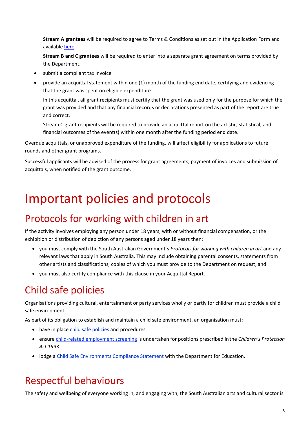**Stream A grantees** will be required to agree to Terms & Conditions as set out in the Application Form and availabl[e here.](https://business.sa.gov.au/live-music/terms-eventsstreama)

**Stream B and C grantees** will be required to enter into a separate grant agreement on terms provided by the Department.

- submit a compliant tax invoice
- provide an acquittal statement within one (1) month of the funding end date, certifying and evidencing that the grant was spent on eligible expenditure.

In this acquittal, all grant recipients must certify that the grant was used only for the purpose for which the grant was provided and that any financial records or declarations presented as part of the report are true and correct.

Stream C grant recipients will be required to provide an acquittal report on the artistic, statistical, and financial outcomes of the event(s) within one month after the funding period end date.

Overdue acquittals, or unapproved expenditure of the funding, will affect eligibility for applications to future rounds and other grant programs.

Successful applicants will be advised of the process for grant agreements, payment of invoices and submission of acquittals, when notified of the grant outcome.

## <span id="page-7-0"></span>Important policies and protocols

#### Protocols for working with children in art

If the activity involves employing any person under 18 years, with or without financial compensation, or the exhibition or distribution of depiction of any persons aged under 18 years then:

- you must comply with the South Australian Government's *Protocols for working with children in art* and any relevant laws that apply in South Australia. This may include obtaining parental consents, statements from other artists and classifications, copies of which you must provide to the Department on request; and
- you must also certify compliance with this clause in your Acquittal Report.

## Child safe policies

Organisations providing cultural, entertainment or party services wholly or partly for children must provide a child safe environment.

As part of its obligation to establish and maintain a child safe environment, an organisation must:

- have in place [child safe policies](https://dhs.sa.gov.au/services/community-and-family-services/child-safe-environments/creating-child-safe-environments/developing-a-child-safe-policy) and procedures
- ensure [child-related employment screening](https://screening.sa.gov.au/types-of-check/child-related-employment) is undertaken for positions prescribed inthe *Children's Protection Act 1993*
- lodge a [Child Safe Environments Compliance Statement](https://dhs.sa.gov.au/services/community-and-family-services/child-safe-environments/lodging-a-child-safe-environments-compliance-statement) with the Department for Education.

#### Respectful behaviours

The safety and wellbeing of everyone working in, and engaging with, the South Australian arts and cultural sector is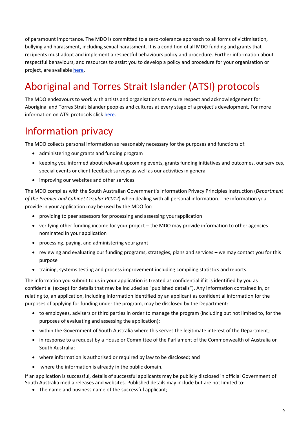of paramount importance. The MDO is committed to a zero-tolerance approach to all forms of victimisation, bullying and harassment, including sexual harassment. It is a condition of all MDO funding and grants that recipients must adopt and implement a respectful behaviours policy and procedure. Further information about respectful behaviours, and resources to assist you to develop a policy and procedure for your organisation or project, are available [here.](https://www.dpc.sa.gov.au/responsibilities/arts-and-culture/grants/guidelines)

## Aboriginal and Torres Strait Islander (ATSI) protocols

The MDO endeavours to work with artists and organisations to ensure respect and acknowledgement for Aboriginal and Torres Strait Islander peoples and cultures at every stage of a project's development. For more information on ATSI protocols click [here.](https://www.dpc.sa.gov.au/responsibilities/arts-and-culture/grants/guidelines/aboriginal-and-torres-strait-islander-protocols)

#### Information privacy

The MDO collects personal information as reasonably necessary for the purposes and functions of:

- administering our grants and funding program
- keeping you informed about relevant upcoming events, grants funding initiatives and outcomes, our services, special events or client feedback surveys as well as our activities in general
- improving our websites and other services.

The MDO complies with the South Australian Government's Information Privacy Principles Instruction (*Department of the Premier and Cabinet Circular PC012*) when dealing with all personal information. The information you provide in your application may be used by the MDO for:

- providing to peer assessors for processing and assessing your application
- verifying other funding income for your project the MDO may provide information to other agencies nominated in your application
- processing, paying, and administering your grant
- reviewing and evaluating our funding programs, strategies, plans and services we may contact you for this purpose
- training, systems testing and process improvement including compiling statistics and reports.

The information you submit to us in your application is treated as confidential if it is identified by you as confidential (except for details that may be included as "published details"). Any information contained in, or relating to, an application, including information identified by an applicant as confidential information for the purposes of applying for funding under the program, may be disclosed by the Department:

- to employees, advisers or third parties in order to manage the program (including but not limited to, for the purposes of evaluating and assessing the application);
- within the Government of South Australia where this serves the legitimate interest of the Department;
- in response to a request by a House or Committee of the Parliament of the Commonwealth of Australia or South Australia;
- where information is authorised or required by law to be disclosed; and
- where the information is already in the public domain.

If an application is successful, details of successful applicants may be publicly disclosed in official Government of South Australia media releases and websites. Published details may include but are not limited to:

• The name and business name of the successful applicant;